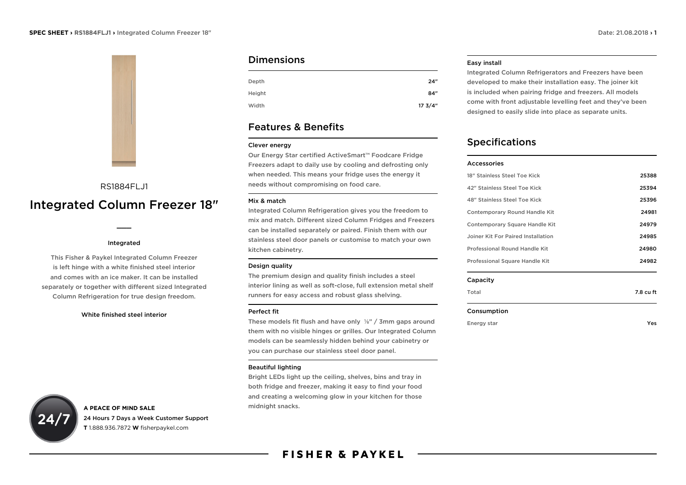

## RS1884FLJ1

# Integrated Column Freezer 18"

 $\overline{\phantom{a}}$ 

#### Integrated

This Fisher & Paykel Integrated Column Freezer is left hinge with a white finished steel interior and comes with an ice maker. It can be installed separately or together with different sized Integrated Column Refrigeration for true design freedom.

#### White finished steel interior

## **A PEACE OF MIND SALE** 24 Hours 7 Days a Week Customer Support **T** 1.888.936.7872 **W** fisherpaykel.com

## **Dimensions**

| Depth  | 24"    |
|--------|--------|
| Height | 84"    |
| Width  | 173/4" |

## Features & Benefits

#### Clever energy

Our Energy Star certified ActiveSmart™ Foodcare Fridge Freezers adapt to daily use by cooling and defrosting only when needed. This means your fridge uses the energy it needs without compromising on food care.

#### Mix & match

Integrated Column Refrigeration gives you the freedom to mix and match. Different sized Column Fridges and Freezers can be installed separately or paired. Finish them with our stainless steel door panels or customise to match your own kitchen cabinetry.

#### Design quality

The premium design and quality finish includes a steel interior lining as well as soft-close, full extension metal shelf runners for easy access and robust glass shelving.

#### Perfect fit

These models fit flush and have only ⅛" / 3mm gaps around them with no visible hinges or grilles. Our Integrated Column models can be seamlessly hidden behind your cabinetry or you can purchase our stainless steel door panel.

#### Beautiful lighting

Bright LEDs light up the ceiling, shelves, bins and tray in both fridge and freezer, making it easy to find your food and creating a welcoming glow in your kitchen for those midnight snacks.

### Easy install

Integrated Column Refrigerators and Freezers have been developed to make their installation easy. The joiner kit is included when pairing fridge and freezers. All models come with front adjustable levelling feet and they've been designed to easily slide into place as separate units.

## Specifications

| 25388 |
|-------|
| 25394 |
| 25396 |
| 24981 |
| 24979 |
| 24985 |
| 24980 |
| 24982 |
|       |

#### Capacity

| Total | 7.8 cu ft |
|-------|-----------|
|       |           |

#### Consumption

Energy star Yes

|  | Ye. |  |
|--|-----|--|
|  |     |  |